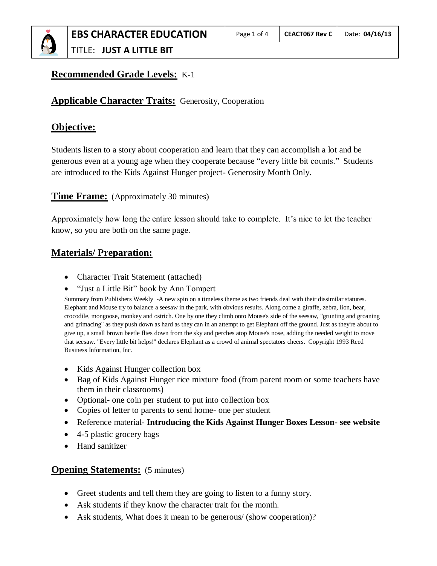TITLE: **JUST A LITTLE BIT**

# **Recommended Grade Levels:** K-1

## **Applicable Character Traits:** Generosity, Cooperation

# **Objective:**

Students listen to a story about cooperation and learn that they can accomplish a lot and be generous even at a young age when they cooperate because "every little bit counts." Students are introduced to the Kids Against Hunger project- Generosity Month Only.

#### **Time Frame:** (Approximately 30 minutes)

Approximately how long the entire lesson should take to complete. It's nice to let the teacher know, so you are both on the same page.

## **Materials/ Preparation:**

- Character Trait Statement (attached)
- "Just a Little Bit" book by Ann Tompert

Summary from Publishers Weekly -A new spin on a timeless theme as two friends deal with their dissimilar statures. Elephant and Mouse try to balance a seesaw in the park, with obvious results. Along come a giraffe, zebra, lion, bear, crocodile, mongoose, monkey and ostrich. One by one they climb onto Mouse's side of the seesaw, "grunting and groaning and grimacing" as they push down as hard as they can in an attempt to get Elephant off the ground. Just as they're about to give up, a small brown beetle flies down from the sky and perches atop Mouse's nose, adding the needed weight to move that seesaw. "Every little bit helps!" declares Elephant as a crowd of animal spectators cheers. Copyright 1993 Reed Business Information, Inc.

- Kids Against Hunger collection box
- Bag of Kids Against Hunger rice mixture food (from parent room or some teachers have them in their classrooms)
- Optional- one coin per student to put into collection box
- Copies of letter to parents to send home- one per student
- Reference material- **Introducing the Kids Against Hunger Boxes Lesson- see website**
- 4-5 plastic grocery bags
- Hand sanitizer

#### **Opening Statements:** (5 minutes)

- Greet students and tell them they are going to listen to a funny story.
- Ask students if they know the character trait for the month.
- Ask students, What does it mean to be generous/ (show cooperation)?

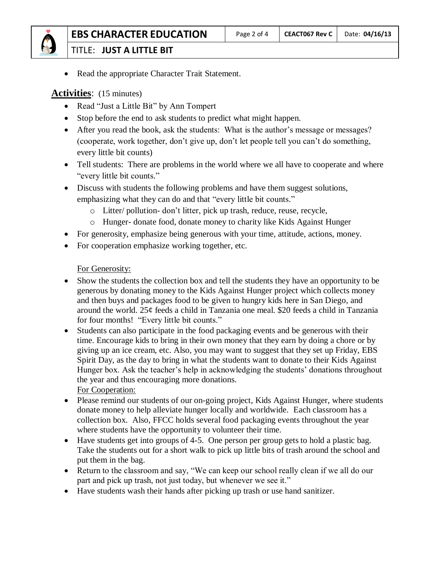

• Read the appropriate Character Trait Statement.

# **Activities**: (15 minutes)

- Read "Just a Little Bit" by Ann Tompert
- Stop before the end to ask students to predict what might happen.
- After you read the book, ask the students: What is the author's message or messages? (cooperate, work together, don't give up, don't let people tell you can't do something, every little bit counts)
- Tell students: There are problems in the world where we all have to cooperate and where "every little bit counts."
- Discuss with students the following problems and have them suggest solutions, emphasizing what they can do and that "every little bit counts."
	- o Litter/ pollution- don't litter, pick up trash, reduce, reuse, recycle,
	- o Hunger- donate food, donate money to charity like Kids Against Hunger
- For generosity, emphasize being generous with your time, attitude, actions, money.
- For cooperation emphasize working together, etc.

## For Generosity:

- Show the students the collection box and tell the students they have an opportunity to be generous by donating money to the Kids Against Hunger project which collects money and then buys and packages food to be given to hungry kids here in San Diego, and around the world. 25¢ feeds a child in Tanzania one meal. \$20 feeds a child in Tanzania for four months! "Every little bit counts."
- Students can also participate in the food packaging events and be generous with their time. Encourage kids to bring in their own money that they earn by doing a chore or by giving up an ice cream, etc. Also, you may want to suggest that they set up Friday, EBS Spirit Day, as the day to bring in what the students want to donate to their Kids Against Hunger box. Ask the teacher's help in acknowledging the students' donations throughout the year and thus encouraging more donations. For Cooperation:
- Please remind our students of our on-going project, Kids Against Hunger, where students donate money to help alleviate hunger locally and worldwide. Each classroom has a collection box. Also, FFCC holds several food packaging events throughout the year where students have the opportunity to volunteer their time.
- Have students get into groups of 4-5. One person per group gets to hold a plastic bag. Take the students out for a short walk to pick up little bits of trash around the school and put them in the bag.
- Return to the classroom and say, "We can keep our school really clean if we all do our part and pick up trash, not just today, but whenever we see it."
- Have students wash their hands after picking up trash or use hand sanitizer.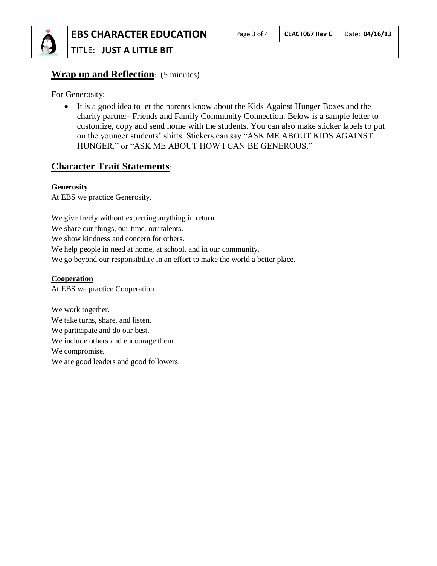TITLE: **JUST A LITTLE BIT**

## **Wrap up and Reflection**: (5 minutes)

For Generosity:

 It is a good idea to let the parents know about the Kids Against Hunger Boxes and the charity partner- Friends and Family Community Connection. Below is a sample letter to customize, copy and send home with the students. You can also make sticker labels to put on the younger students' shirts. Stickers can say "ASK ME ABOUT KIDS AGAINST HUNGER." or "ASK ME ABOUT HOW I CAN BE GENEROUS."

## **Character Trait Statements**:

#### **Generosity**

At EBS we practice Generosity.

We give freely without expecting anything in return. We share our things, our time, our talents. We show kindness and concern for others. We help people in need at home, at school, and in our community. We go beyond our responsibility in an effort to make the world a better place.

#### **Cooperation**

At EBS we practice Cooperation.

We work together. We take turns, share, and listen. We participate and do our best. We include others and encourage them. We compromise. We are good leaders and good followers.